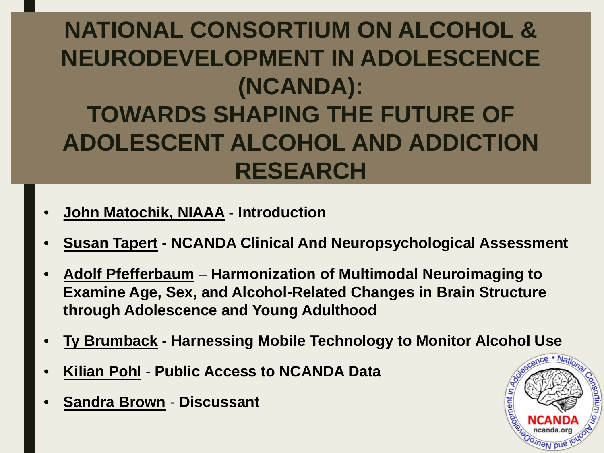#### **NATIONAL CONSORTIUM ON ALCOHOL & NEURODEVELOPMENT IN ADOLESCENCE (NCANDA): TOWARDS SHAPING THE FUTURE OF ADOLESCENT ALCOHOL AND ADDICTION RESEARCH**

- **John Matochik, NIAAA - Introduction**
- **Susan Tapert - NCANDA Clinical And Neuropsychological Assessment**
- **Adolf Pfefferbaum Harmonization of Multimodal Neuroimaging to Examine Age, Sex, and Alcohol-Related Changes in Brain Structure through Adolescence and Young Adulthood**
- **Ty Brumback - Harnessing Mobile Technology to Monitor Alcohol Use**
- **Kilian Pohl Public Access to NCANDA Data**
- **Sandra Brown Discussant**

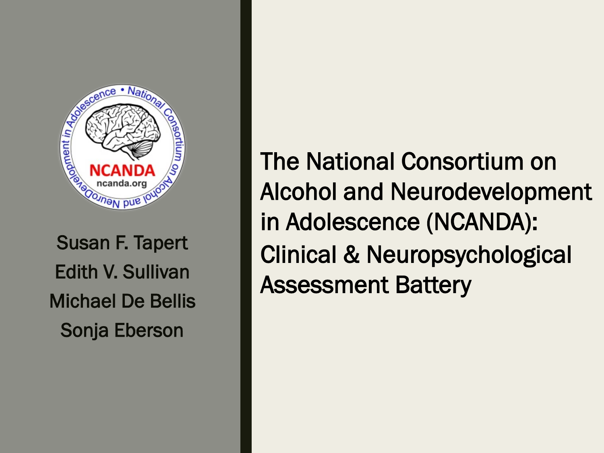

Susan F. Tapert Edith V. Sullivan Michael De Bellis Sonja Eberson

The National Consortium on Alcohol and Neurodevelopment in Adolescence (NCANDA): Clinical & Neuropsychological Assessment Battery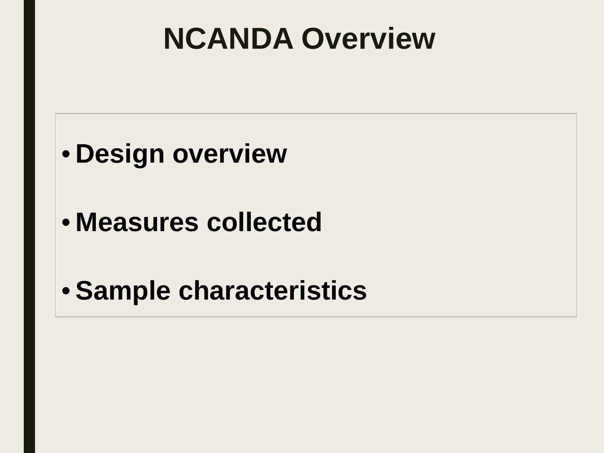### **NCANDA Overview**



- **Measures collected**
- **Sample characteristics**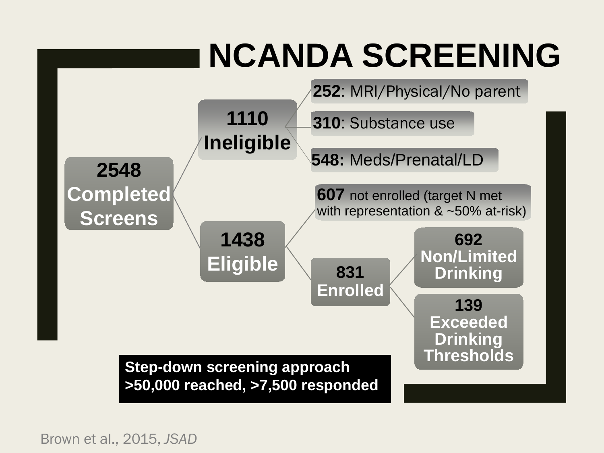

Brown et al., 2015, *JSAD*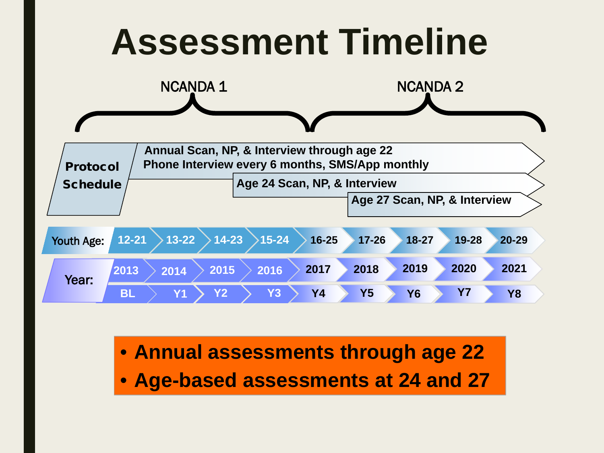

• **Annual assessments through age 22** • **Age-based assessments at 24 and 27**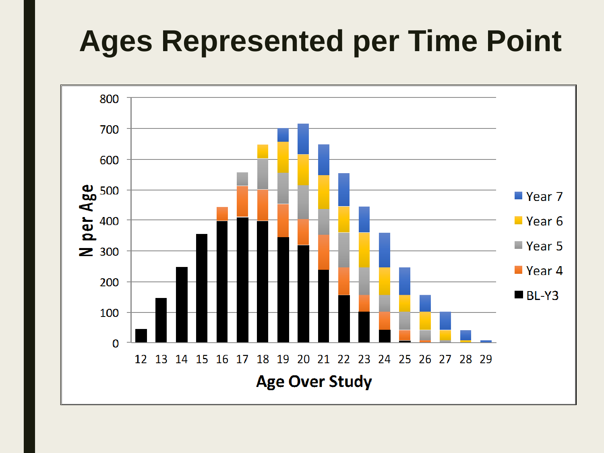# **Ages Represented per Time Point**

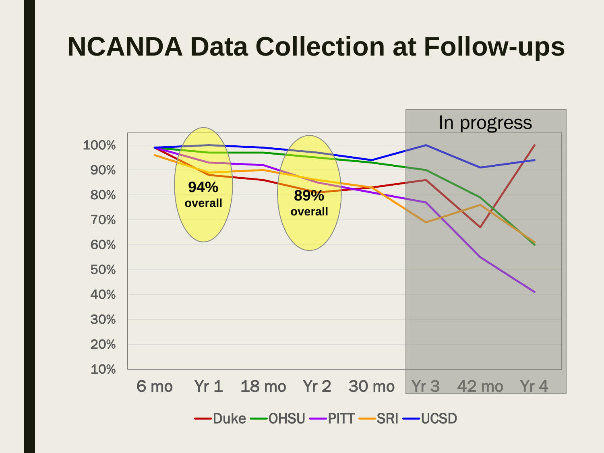#### **NCANDA Data Collection at Follow-ups**

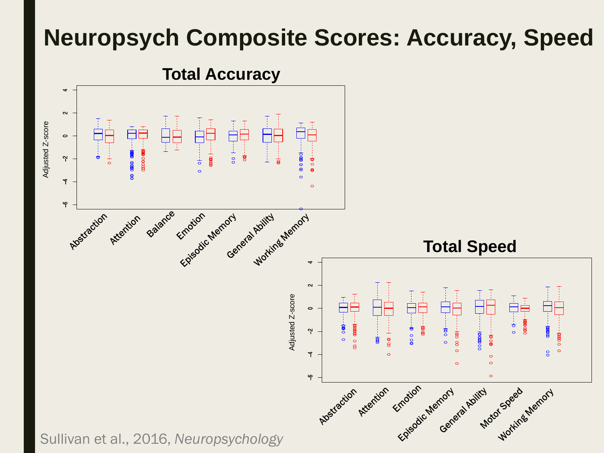#### **Neuropsych Composite Scores: Accuracy, Speed**



**Total Accuracy**

Sullivan et al., 2016, *Neuropsychology*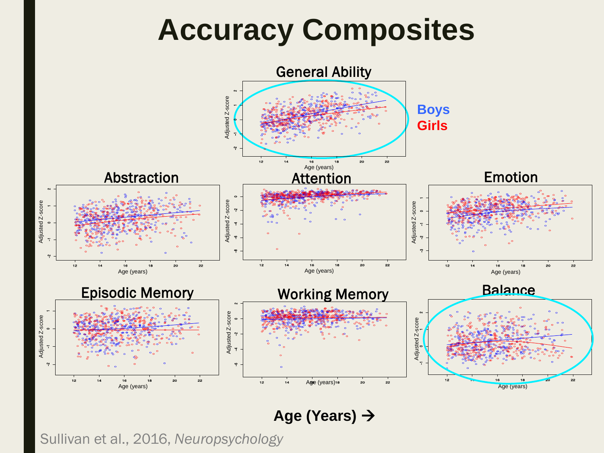### **Accuracy Composites**



**Age (Years)** 

Sullivan et al., 2016, *Neuropsychology*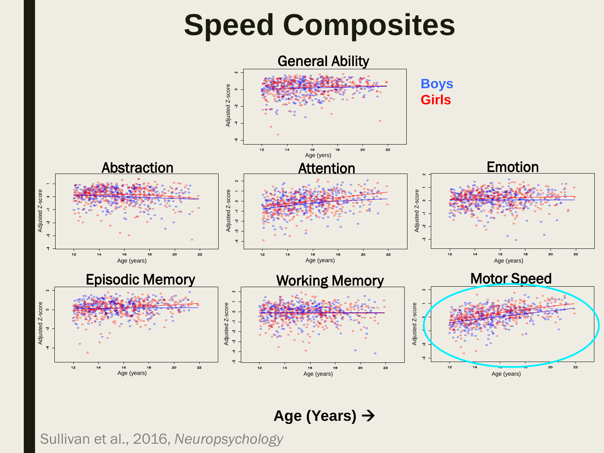

#### **Age (Years)**

Sullivan et al., 2016, *Neuropsychology*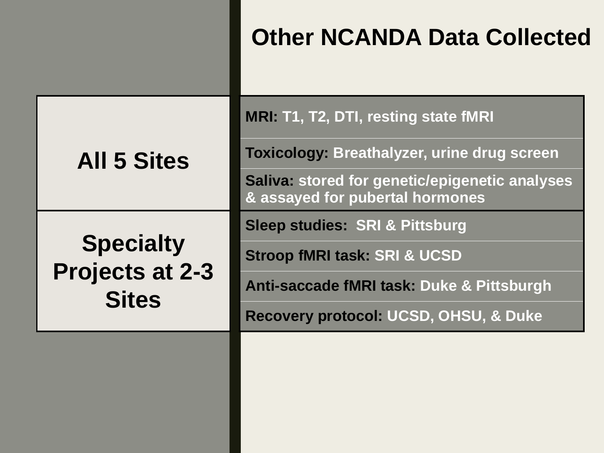**MRI: T1, T2, DTI, resting state fMRI**

**Toxicology: Breathalyzer, urine drug screen** 

**Saliva: stored for genetic/epigenetic analyses & assayed for pubertal hormones**

**Sleep studies: SRI & Pittsburg**

**Specialty Projects at 2-3 Stroop fMRI task: SRI & UCSD**

**All 5 Sites**

**Sites**

**Anti-saccade fMRI task: Duke & Pittsburgh**

**Recovery protocol: UCSD, OHSU, & Duke**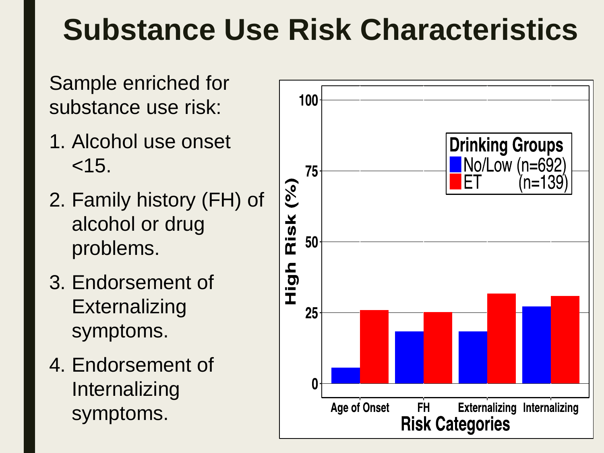### **Substance Use Risk Characteristics**

Sample enriched for substance use risk:

- 1. Alcohol use onset  $< 15.$
- 2. Family history (FH) of alcohol or drug problems.
- 3. Endorsement of Externalizing symptoms.
- 4. Endorsement of Internalizing symptoms.

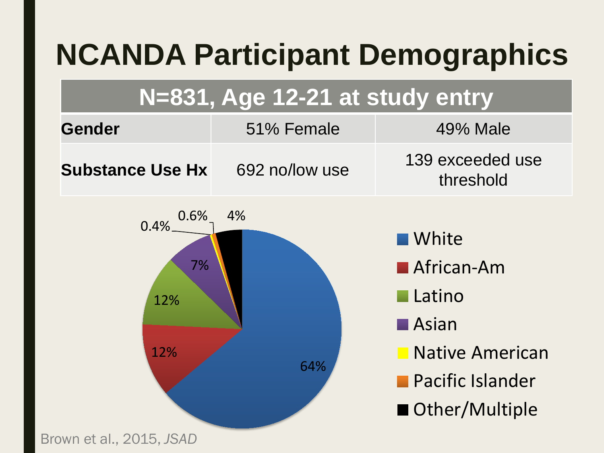# **NCANDA Participant Demographics**

#### **N=831, Age 12-21 at study entry**

| <b>Gender</b>           | 51% Female     | 49% Male                      |
|-------------------------|----------------|-------------------------------|
| <b>Substance Use Hx</b> | 692 no/low use | 139 exceeded use<br>threshold |

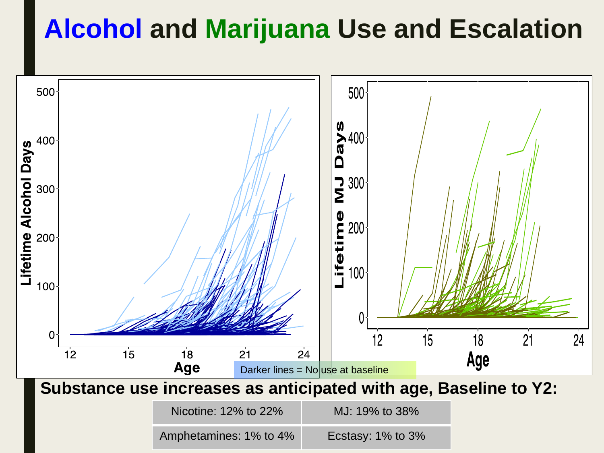#### **Alcohol and Marijuana Use and Escalation**

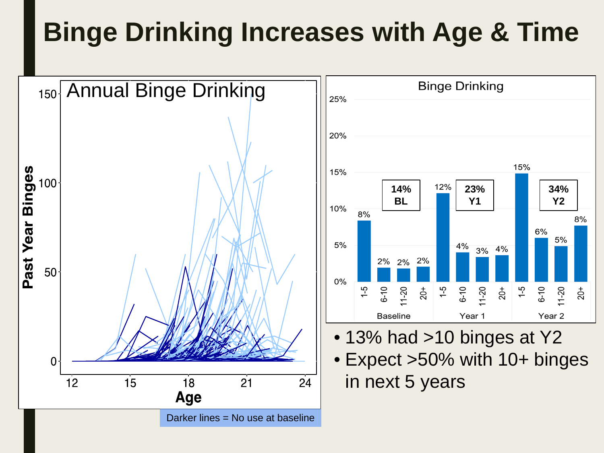#### **Binge Drinking Increases with Age & Time**

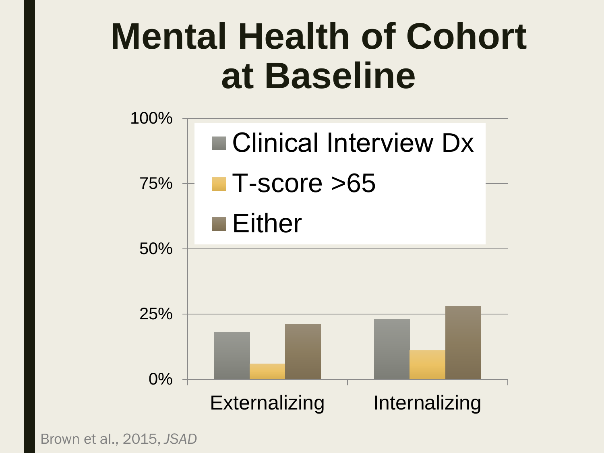# **Mental Health of Cohort at Baseline**



Brown et al., 2015, *JSAD*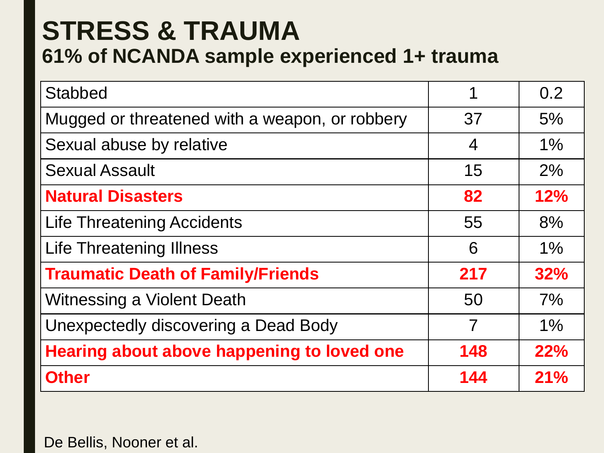#### **STRESS & TRAUMA 61% of NCANDA sample experienced 1+ trauma**

| <b>Stabbed</b>                                 | 1              | 0.2   |
|------------------------------------------------|----------------|-------|
| Mugged or threatened with a weapon, or robbery | 37             | 5%    |
| Sexual abuse by relative                       | $\overline{4}$ | $1\%$ |
| <b>Sexual Assault</b>                          | 15             | 2%    |
| <b>Natural Disasters</b>                       | 82             | 12%   |
| <b>Life Threatening Accidents</b>              | 55             | 8%    |
| <b>Life Threatening Illness</b>                | 6              | $1\%$ |
| <b>Traumatic Death of Family/Friends</b>       | 217            | 32%   |
| <b>Witnessing a Violent Death</b>              | 50             | 7%    |
| Unexpectedly discovering a Dead Body           | 7              | $1\%$ |
| Hearing about above happening to loved one     | 148            | 22%   |
| <b>Other</b>                                   | 144            | 21%   |

De Bellis, Nooner et al.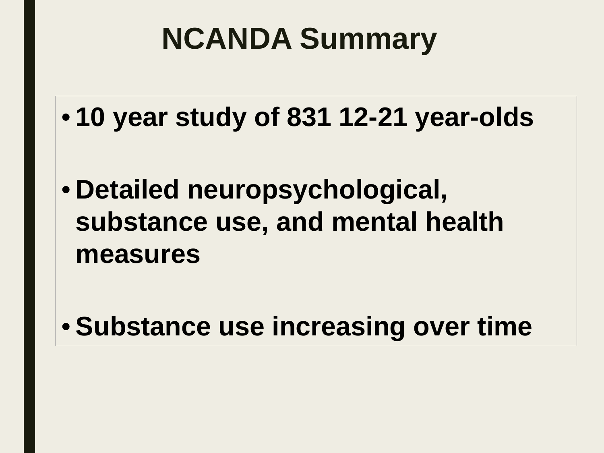### **NCANDA Summary**

- **10 year study of 831 12-21 year-olds**
- **Detailed neuropsychological, substance use, and mental health measures**

• **Substance use increasing over time**